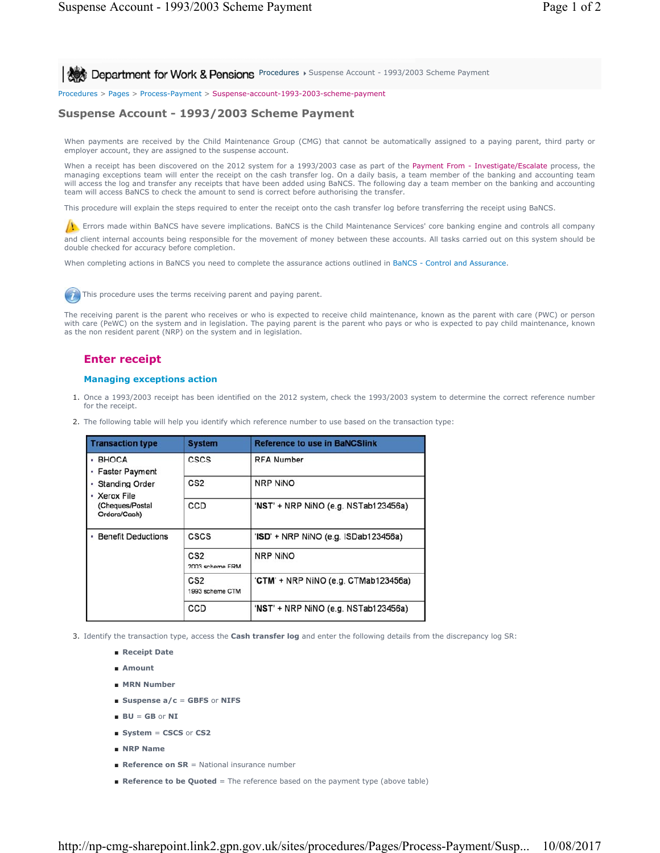**Procedures > Suspense Account - 1993/2003 Scheme Payment** 

Procedures > Pages > Process-Payment > Suspense-account-1993-2003-scheme-payment

## **Suspense Account - 1993/2003 Scheme Payment**

When payments are received by the Child Maintenance Group (CMG) that cannot be automatically assigned to a paying parent, third party or employer account, they are assigned to the suspense account.

When a receipt has been discovered on the 2012 system for a 1993/2003 case as part of the Payment From - Investigate/Escalate process, the managing exceptions team will enter the receipt on the cash transfer log. On a daily basis, a team member of the banking and accounting team will access the log and transfer any receipts that have been added using BaNCS. The following day a team member on the banking and accounting team will access BaNCS to check the amount to send is correct before authorising the transfer.

This procedure will explain the steps required to enter the receipt onto the cash transfer log before transferring the receipt using BaNCS.

**EXECUTE:** Errors made within BaNCS have severe implications. BaNCS is the Child Maintenance Services' core banking engine and controls all company

and client internal accounts being responsible for the movement of money between these accounts. All tasks carried out on this system should be double checked for accuracy before completion.

When completing actions in BaNCS you need to complete the assurance actions outlined in BaNCS - Control and Assurance.



The receiving parent is the parent who receives or who is expected to receive child maintenance, known as the parent with care (PWC) or person with care (PeWC) on the system and in legislation. The paying parent is the parent who pays or who is expected to pay child maintenance, known as the non resident parent (NRP) on the system and in legislation.

## **Enter receipt**

## **Managing exceptions action**

- 1. Once a 1993/2003 receipt has been identified on the 2012 system, check the 1993/2003 system to determine the correct reference number for the receipt.
- 2. The following table will help you identify which reference number to use based on the transaction type:

| <b>Transaction type</b>                                                                                           | <b>System</b>                      | <b>Reference to use in BaNCSlink</b> |
|-------------------------------------------------------------------------------------------------------------------|------------------------------------|--------------------------------------|
| <b>BHOCA</b><br><b>Faster Payment</b><br><b>Standing Order</b><br>• Xerox File<br>(Cheques/Postal<br>Orders/Cash) | <b>CSCS</b>                        | <b>RFA Number</b>                    |
|                                                                                                                   | CS <sub>2</sub>                    | <b>NRP NINO</b>                      |
|                                                                                                                   | CCD                                | 'NST' + NRP NiNO (e.g. NSTab123456a) |
| <b>Benefit Deductions</b>                                                                                         | CSCS                               | 'ISD' + NRP NiNO (e.g. ISDab123456a) |
|                                                                                                                   | CS <sub>2</sub><br>2003 scheme FRM | <b>NRP NINO</b>                      |
|                                                                                                                   | CS <sub>2</sub><br>1993 scheme CTM | 'CTM' + NRP NiNO (e.g. CTMab123456a) |
|                                                                                                                   | CCD                                | 'NST' + NRP NiNO (e.g. NSTab123456a) |

3. Identify the transaction type, access the **Cash transfer log** and enter the following details from the discrepancy log SR:

- **Receipt Date**
- **Amount**
- **MRN Number**
- **Suspense a/c** = **GBFS** or **NIFS**
- **BU** = **GB** or **NI**
- **System** = **CSCS** or **CS2**
- **NRP Name**
- **Reference on SR** = National insurance number
- **Reference to be Quoted** = The reference based on the payment type (above table)